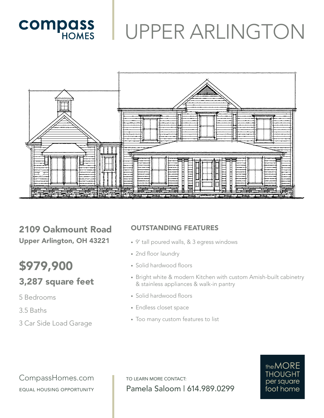# UPPER ARLINGTON



2109 Oakmount Road Upper Arlington, OH 43221

**COMPASS** 

### \$979,900 3,287 square feet

### 5 Bedrooms

3.5 Baths

3 Car Side Load Garage

#### OUTSTANDING FEATURES

- 9' tall poured walls, & 3 egress windows
- 2nd floor laundry
- Solid hardwood floors
- Bright white & modern Kitchen with custom Amish-built cabinetry & stainless appliances & walk-in pantry
- Solid hardwood floors
- Endless closet space
- Too many custom features to list

CompassHomes.com EQUAL HOUSING OPPORTUNITY

TO LEARN MORE CONTACT: Pamela Saloom | 614.989.0299